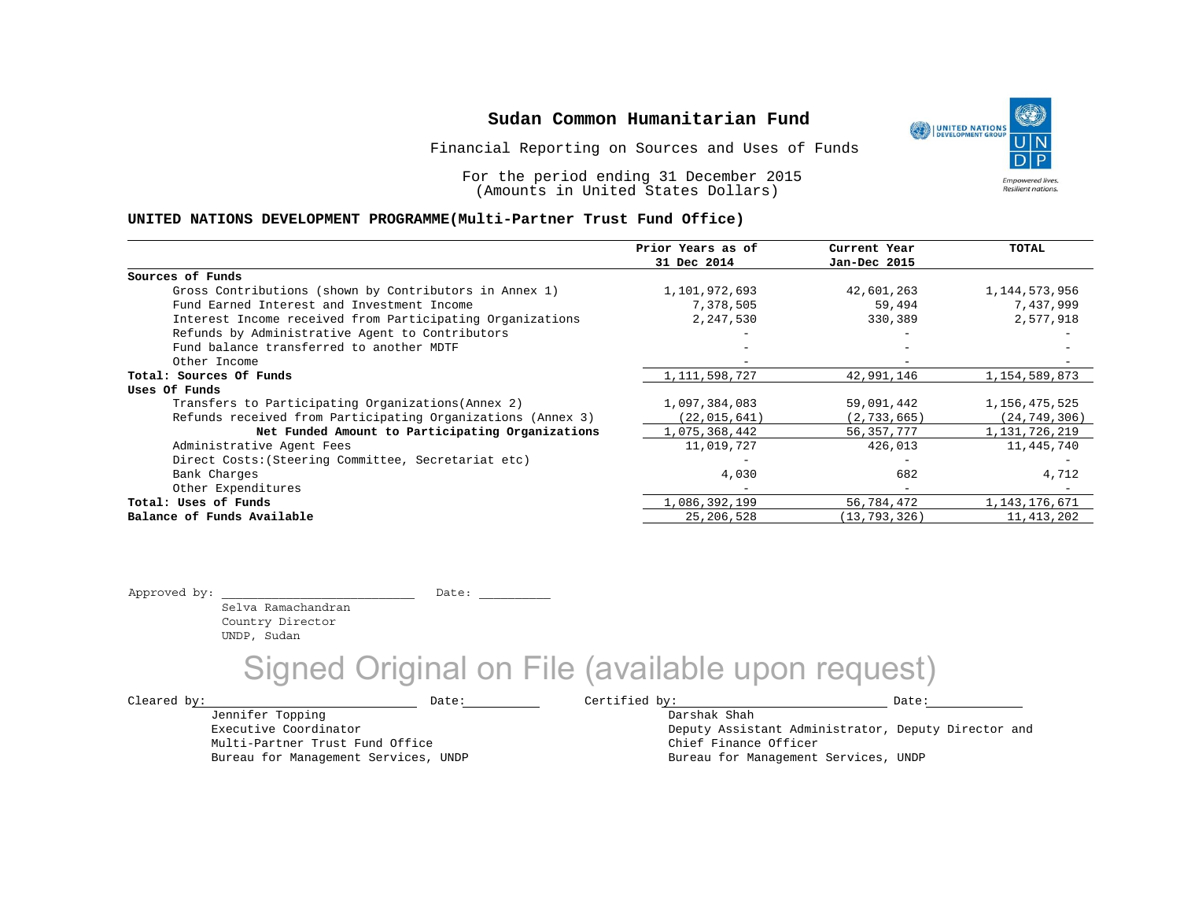Financial Reporting on Sources and Uses of Funds

For the period ending 31 December 2015 (Amounts in United States Dollars)

#### **UNITED NATIONS DEVELOPMENT PROGRAMME(Multi-Partner Trust Fund Office)**

|                                                             | Prior Years as of | Current Year                 | TOTAL            |
|-------------------------------------------------------------|-------------------|------------------------------|------------------|
|                                                             | 31 Dec 2014       | Jan-Dec 2015                 |                  |
| Sources of Funds                                            |                   |                              |                  |
| Gross Contributions (shown by Contributors in Annex 1)      | 1,101,972,693     | 42,601,263                   | 1,144,573,956    |
| Fund Earned Interest and Investment Income                  | 7,378,505         | 59,494                       | 7,437,999        |
| Interest Income received from Participating Organizations   | 2,247,530         | 330,389                      | 2,577,918        |
| Refunds by Administrative Agent to Contributors             |                   |                              |                  |
| Fund balance transferred to another MDTF                    |                   |                              |                  |
| Other Income                                                |                   | $\qquad \qquad \blacksquare$ |                  |
| Total: Sources Of Funds                                     | 1, 111, 598, 727  | 42,991,146                   | 1, 154, 589, 873 |
| Uses Of Funds                                               |                   |                              |                  |
| Transfers to Participating Organizations (Annex 2)          | 1,097,384,083     | 59,091,442                   | 1,156,475,525    |
| Refunds received from Participating Organizations (Annex 3) | (22, 015, 641)    | (2, 733, 665)                | (24, 749, 306)   |
| Net Funded Amount to Participating Organizations            | 1,075,368,442     | 56, 357, 777                 | 1,131,726,219    |
| Administrative Agent Fees                                   | 11,019,727        | 426,013                      | 11,445,740       |
| Direct Costs: (Steering Committee, Secretariat etc)         |                   |                              |                  |
| Bank Charges                                                | 4,030             | 682                          | 4,712            |
| Other Expenditures                                          |                   | $\overline{\phantom{0}}$     |                  |
| Total: Uses of Funds                                        | 1,086,392,199     | 56,784,472                   | 1,143,176,671    |
| Balance of Funds Available                                  | 25, 206, 528      | (13, 793, 326)               | 11,413,202       |

Approved by: \_\_\_\_\_\_\_\_\_\_\_\_\_\_\_\_\_\_\_\_\_\_\_\_\_\_\_ Date: \_\_\_\_\_\_\_\_\_\_

 Selva Ramachandran Country Director UNDP, Sudan

Signed Original on File (available upon request)

 $\texttt{Cleared by:}\footnotesize \begin{minipage}{0.9\linewidth} \texttt{Date:}\footnotesize \begin{minipage}{0.9\linewidth} \texttt{Date:}\footnotesize \begin{minipage}{0.9\linewidth} \end{minipage} \end{minipage}$ 

Jennifer Topping Executive Coordinator Multi-Partner Trust Fund Office Bureau for Management Services, UNDP

Darshak Shah Deputy Assistant Administrator, Deputy Director and Chief Finance Officer Bureau for Management Services, UNDP

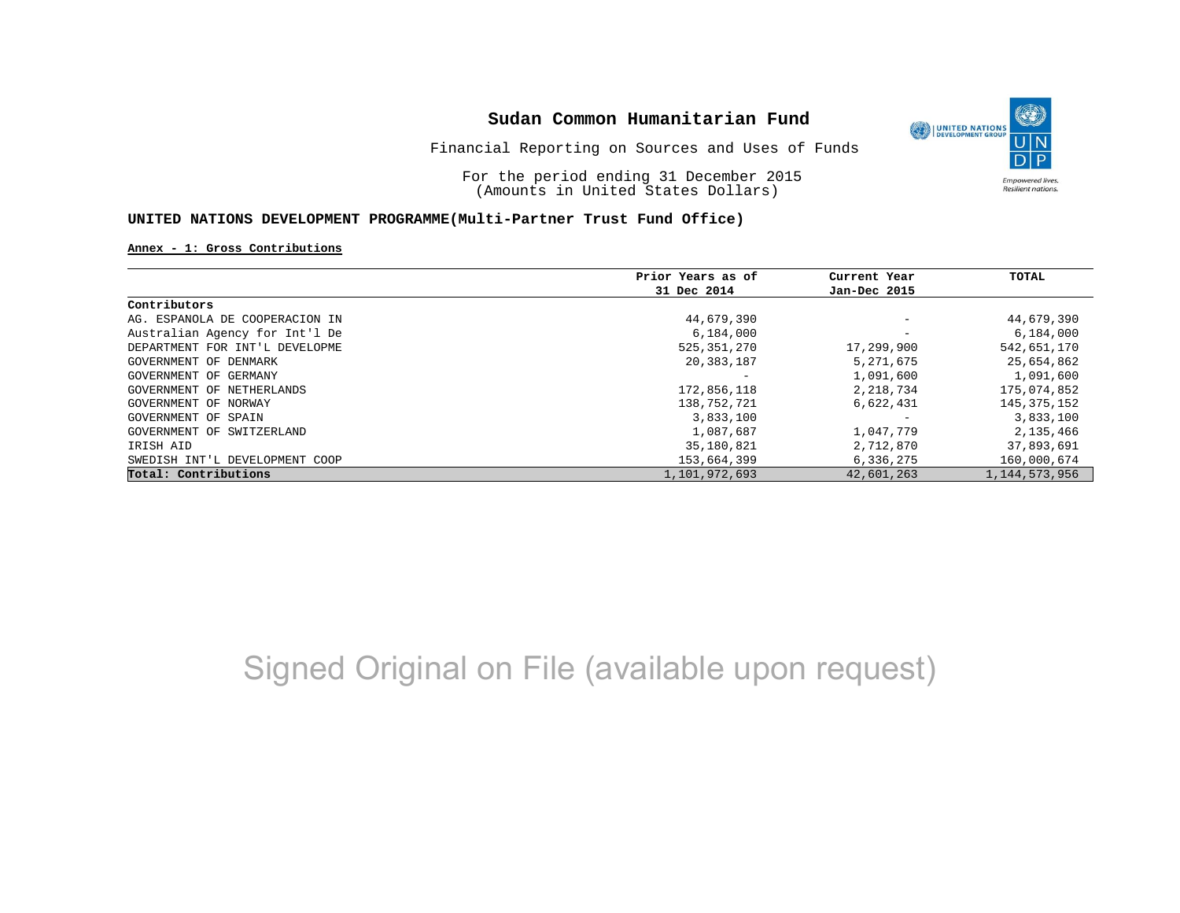

Financial Reporting on Sources and Uses of Funds

For the period ending 31 December 2015 (Amounts in United States Dollars)

#### **UNITED NATIONS DEVELOPMENT PROGRAMME(Multi-Partner Trust Fund Office)**

#### **Annex - 1: Gross Contributions**

|                                | Prior Years as of | Current Year             | TOTAL            |
|--------------------------------|-------------------|--------------------------|------------------|
|                                | 31 Dec 2014       | Jan-Dec 2015             |                  |
| Contributors                   |                   |                          |                  |
| AG. ESPANOLA DE COOPERACION IN | 44,679,390        | $\overline{\phantom{m}}$ | 44,679,390       |
| Australian Agency for Int'l De | 6,184,000         |                          | 6,184,000        |
| DEPARTMENT FOR INT'L DEVELOPME | 525,351,270       | 17,299,900               | 542,651,170      |
| GOVERNMENT OF DENMARK          | 20,383,187        | 5,271,675                | 25,654,862       |
| GOVERNMENT OF GERMANY          |                   | 1,091,600                | 1,091,600        |
| GOVERNMENT OF NETHERLANDS      | 172,856,118       | 2,218,734                | 175,074,852      |
| GOVERNMENT OF NORWAY           | 138,752,721       | 6,622,431                | 145,375,152      |
| GOVERNMENT OF SPAIN            | 3,833,100         |                          | 3,833,100        |
| GOVERNMENT OF SWITZERLAND      | 1,087,687         | 1,047,779                | 2,135,466        |
| IRISH AID                      | 35,180,821        | 2,712,870                | 37,893,691       |
| SWEDISH INT'L DEVELOPMENT COOP | 153,664,399       | 6,336,275                | 160,000,674      |
| Total: Contributions           | 1,101,972,693     | 42,601,263               | 1, 144, 573, 956 |

# Signed Original on File (available upon request)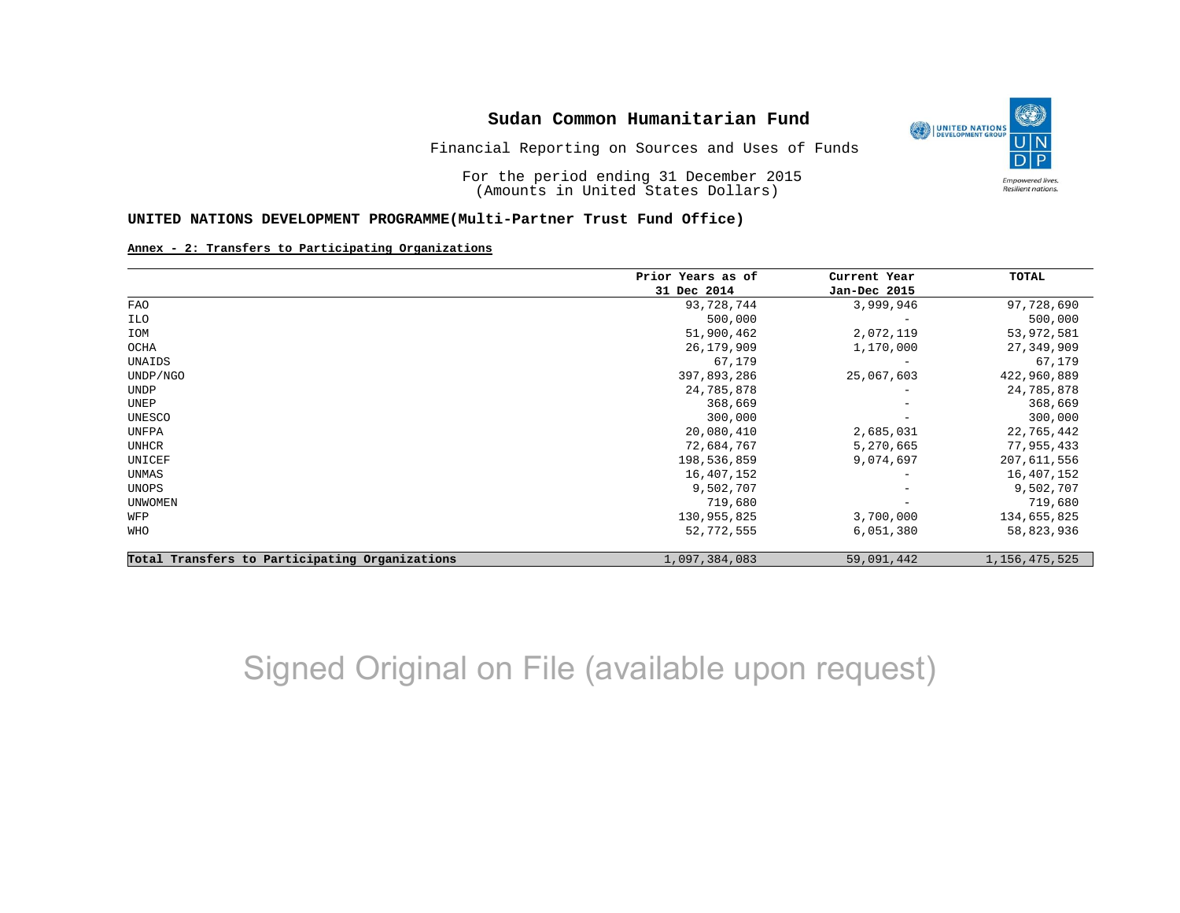

For the period ending 31 December 2015 (Amounts in United States Dollars)

#### **UNITED NATIONS DEVELOPMENT PROGRAMME(Multi-Partner Trust Fund Office)**

#### **Annex - 2: Transfers to Participating Organizations**

|                                                | Prior Years as of | Current Year             | <b>TOTAL</b>     |
|------------------------------------------------|-------------------|--------------------------|------------------|
|                                                | 31 Dec 2014       | Jan-Dec 2015             |                  |
| <b>FAO</b>                                     | 93,728,744        | 3,999,946                | 97,728,690       |
| ILO                                            | 500,000           | $\overline{\phantom{0}}$ | 500,000          |
| IOM                                            | 51,900,462        | 2,072,119                | 53,972,581       |
| OCHA                                           | 26, 179, 909      | 1,170,000                | 27,349,909       |
| UNAIDS                                         | 67,179            | $\overline{\phantom{0}}$ | 67,179           |
| UNDP/NGO                                       | 397,893,286       | 25,067,603               | 422,960,889      |
| <b>UNDP</b>                                    | 24,785,878        |                          | 24,785,878       |
| UNEP                                           | 368,669           | $\overline{\phantom{m}}$ | 368,669          |
| UNESCO                                         | 300,000           |                          | 300,000          |
| UNFPA                                          | 20,080,410        | 2,685,031                | 22,765,442       |
| <b>UNHCR</b>                                   | 72,684,767        | 5,270,665                | 77,955,433       |
| UNICEF                                         | 198, 536, 859     | 9,074,697                | 207,611,556      |
| UNMAS                                          | 16,407,152        | -                        | 16,407,152       |
| UNOPS                                          | 9,502,707         | $\overline{\phantom{m}}$ | 9,502,707        |
| UNWOMEN                                        | 719,680           | -                        | 719,680          |
| WFP                                            | 130,955,825       | 3,700,000                | 134,655,825      |
| WHO                                            | 52,772,555        | 6,051,380                | 58,823,936       |
| Total Transfers to Participating Organizations | 1,097,384,083     | 59,091,442               | 1, 156, 475, 525 |

## Signed Original on File (available upon request)